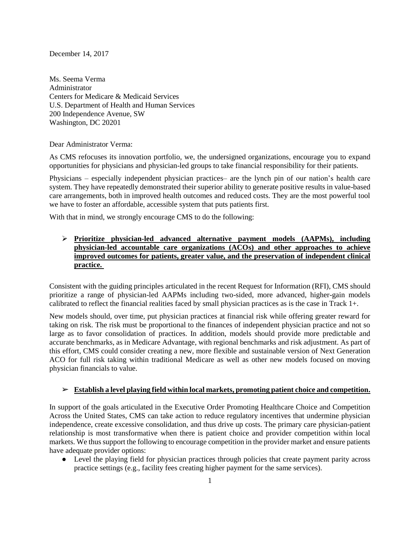December 14, 2017

Ms. Seema Verma Administrator Centers for Medicare & Medicaid Services U.S. Department of Health and Human Services 200 Independence Avenue, SW Washington, DC 20201

Dear Administrator Verma:

As CMS refocuses its innovation portfolio, we, the undersigned organizations, encourage you to expand opportunities for physicians and physician-led groups to take financial responsibility for their patients.

Physicians – especially independent physician practices– are the lynch pin of our nation's health care system. They have repeatedly demonstrated their superior ability to generate positive results in value-based care arrangements, both in improved health outcomes and reduced costs. They are the most powerful tool we have to foster an affordable, accessible system that puts patients first.

With that in mind, we strongly encourage CMS to do the following:

 **Prioritize physician-led advanced alternative payment models (AAPMs), including physician-led accountable care organizations (ACOs) and other approaches to achieve improved outcomes for patients, greater value, and the preservation of independent clinical practice.**

Consistent with the guiding principles articulated in the recent Request for Information (RFI), CMS should prioritize a range of physician-led AAPMs including two-sided, more advanced, higher-gain models calibrated to reflect the financial realities faced by small physician practices as is the case in Track 1+.

New models should, over time, put physician practices at financial risk while offering greater reward for taking on risk. The risk must be proportional to the finances of independent physician practice and not so large as to favor consolidation of practices. In addition, models should provide more predictable and accurate benchmarks, as in Medicare Advantage, with regional benchmarks and risk adjustment. As part of this effort, CMS could consider creating a new, more flexible and sustainable version of Next Generation ACO for full risk taking within traditional Medicare as well as other new models focused on moving physician financials to value.

## ➢ **Establish a level playing field within local markets, promoting patient choice and competition.**

In support of the goals articulated in the Executive Order Promoting Healthcare Choice and Competition Across the United States, CMS can take action to reduce regulatory incentives that undermine physician independence, create excessive consolidation, and thus drive up costs. The primary care physician-patient relationship is most transformative when there is patient choice and provider competition within local markets. We thus support the following to encourage competition in the provider market and ensure patients have adequate provider options:

● Level the playing field for physician practices through policies that create payment parity across practice settings (e.g., facility fees creating higher payment for the same services).